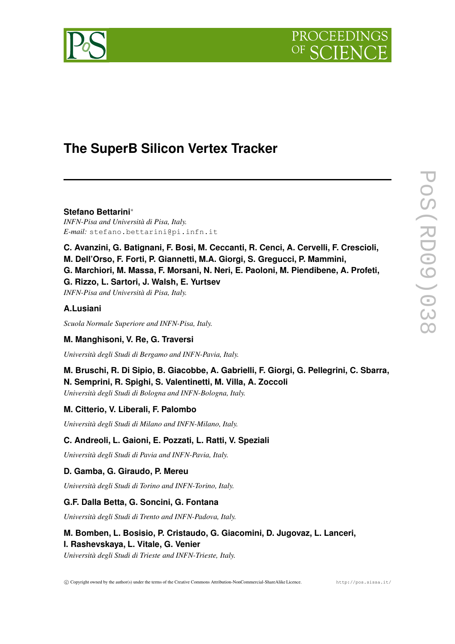



# **The SuperB Silicon Vertex Tracker**

**Stefano Bettarini**<sup>∗</sup> *INFN-Pisa and Università di Pisa, Italy. E-mail:* stefano.bettarini@pi.infn.it

**C. Avanzini, G. Batignani, F. Bosi, M. Ceccanti, R. Cenci, A. Cervelli, F. Crescioli,**

**M. Dell'Orso, F. Forti, P. Giannetti, M.A. Giorgi, S. Gregucci, P. Mammini,**

**G. Marchiori, M. Massa, F. Morsani, N. Neri, E. Paoloni, M. Piendibene, A. Profeti,**

**G. Rizzo, L. Sartori, J. Walsh, E. Yurtsev**

*INFN-Pisa and Università di Pisa, Italy.*

## **A.Lusiani**

*Scuola Normale Superiore and INFN-Pisa, Italy.*

# **M. Manghisoni, V. Re, G. Traversi**

*Università degli Studi di Bergamo and INFN-Pavia, Italy.*

## **M. Bruschi, R. Di Sipio, B. Giacobbe, A. Gabrielli, F. Giorgi, G. Pellegrini, C. Sbarra, N. Semprini, R. Spighi, S. Valentinetti, M. Villa, A. Zoccoli**

*Università degli Studi di Bologna and INFN-Bologna, Italy.*

# **M. Citterio, V. Liberali, F. Palombo**

*Università degli Studi di Milano and INFN-Milano, Italy.*

# **C. Andreoli, L. Gaioni, E. Pozzati, L. Ratti, V. Speziali**

*Università degli Studi di Pavia and INFN-Pavia, Italy.*

# **D. Gamba, G. Giraudo, P. Mereu**

*Università degli Studi di Torino and INFN-Torino, Italy.*

# **G.F. Dalla Betta, G. Soncini, G. Fontana**

*Università degli Studi di Trento and INFN-Padova, Italy.*

# **M. Bomben, L. Bosisio, P. Cristaudo, G. Giacomini, D. Jugovaz, L. Lanceri, I. Rashevskaya, L. Vitale, G. Venier**

*Università degli Studi di Trieste and INFN-Trieste, Italy.*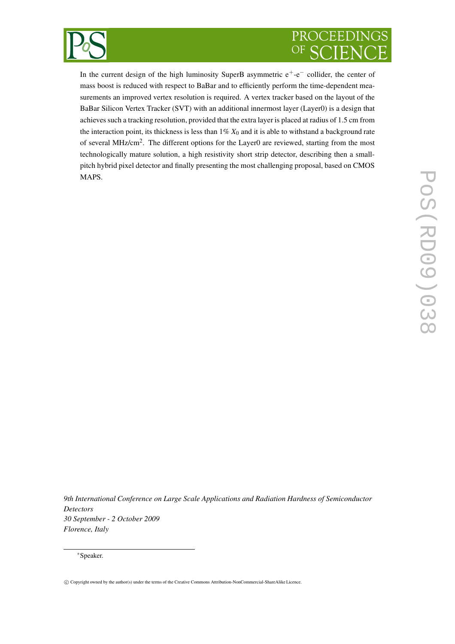

# PROCEEDINGS OF

In the current design of the high luminosity SuperB asymmetric  $e^+$ - $e^-$  collider, the center of mass boost is reduced with respect to BaBar and to efficiently perform the time-dependent measurements an improved vertex resolution is required. A vertex tracker based on the layout of the BaBar Silicon Vertex Tracker (SVT) with an additional innermost layer (Layer0) is a design that achieves such a tracking resolution, provided that the extra layer is placed at radius of 1.5 cm from the interaction point, its thickness is less than  $1\% X_0$  and it is able to withstand a background rate of several MHz/cm<sup>2</sup>. The different options for the Layer0 are reviewed, starting from the most technologically mature solution, a high resistivity short strip detector, describing then a smallpitch hybrid pixel detector and finally presenting the most challenging proposal, based on CMOS MAPS.

*9th International Conference on Large Scale Applications and Radiation Hardness of Semiconductor Detectors 30 September - 2 October 2009 Florence, Italy*

#### <sup>∗</sup>Speaker.

c Copyright owned by the author(s) under the terms of the Creative Commons Attribution-NonCommercial-ShareAlike Licence.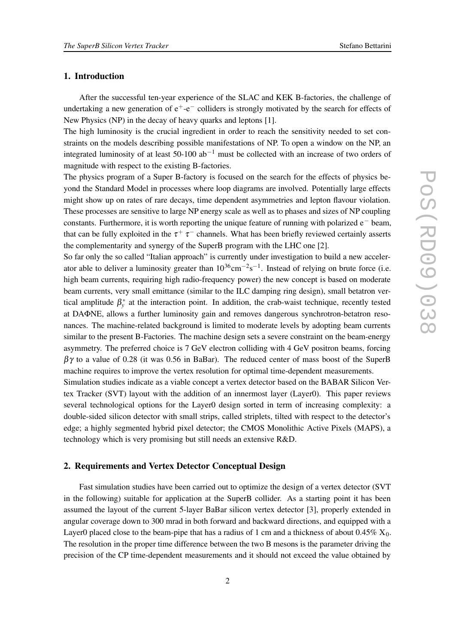### **1. Introduction**

After the successful ten-year experience of the SLAC and KEK B-factories, the challenge of undertaking a new generation of  $e^+$ - $e^-$  colliders is strongly motivated by the search for effects of New Physics (NP) in the decay of heavy quarks and leptons [1].

The high luminosity is the crucial ingredient in order to reach the sensitivity needed to set constraints on the models describing possible manifestations of NP. To open a window on the NP, an integrated luminosity of at least 50-100  $ab^{-1}$  must be collected with an increase of two orders of magnitude with respect to the existing B-factories.

The physics program of a Super B-factory is focused on the search for the effects of physics beyond the Standard Model in processes where loop diagrams are involved. Potentially large effects might show up on rates of rare decays, time dependent asymmetries and lepton flavour violation. These processes are sensitive to large NP energy scale as well as to phases and sizes of NP coupling constants. Furthermore, it is worth reporting the unique feature of running with polarized e<sup>−</sup> beam, that can be fully exploited in the  $\tau^+$   $\tau^-$  channels. What has been briefly reviewed certainly asserts the complementarity and synergy of the SuperB program with the LHC one [2].

So far only the so called "Italian approach" is currently under investigation to build a new accelerator able to deliver a luminosity greater than  $10^{36}$ cm<sup>-2</sup>s<sup>-1</sup>. Instead of relying on brute force (i.e. high beam currents, requiring high radio-frequency power) the new concept is based on moderate beam currents, very small emittance (similar to the ILC damping ring design), small betatron vertical amplitude  $\beta_{v}^{*}$ *y* at the interaction point. In addition, the crab-waist technique, recently tested at DAΦNE, allows a further luminosity gain and removes dangerous synchrotron-betatron resonances. The machine-related background is limited to moderate levels by adopting beam currents similar to the present B-Factories. The machine design sets a severe constraint on the beam-energy asymmetry. The preferred choice is 7 GeV electron colliding with 4 GeV positron beams, forcing  $\beta\gamma$  to a value of 0.28 (it was 0.56 in BaBar). The reduced center of mass boost of the SuperB machine requires to improve the vertex resolution for optimal time-dependent measurements.

Simulation studies indicate as a viable concept a vertex detector based on the BABAR Silicon Vertex Tracker (SVT) layout with the addition of an innermost layer (Layer0). This paper reviews several technological options for the Layer0 design sorted in term of increasing complexity: a double-sided silicon detector with small strips, called striplets, tilted with respect to the detector's edge; a highly segmented hybrid pixel detector; the CMOS Monolithic Active Pixels (MAPS), a technology which is very promising but still needs an extensive R&D.

## **2. Requirements and Vertex Detector Conceptual Design**

Fast simulation studies have been carried out to optimize the design of a vertex detector (SVT in the following) suitable for application at the SuperB collider. As a starting point it has been assumed the layout of the current 5-layer BaBar silicon vertex detector [3], properly extended in angular coverage down to 300 mrad in both forward and backward directions, and equipped with a Layer0 placed close to the beam-pipe that has a radius of 1 cm and a thickness of about  $0.45\%$  X<sub>0</sub>. The resolution in the proper time difference between the two B mesons is the parameter driving the precision of the CP time-dependent measurements and it should not exceed the value obtained by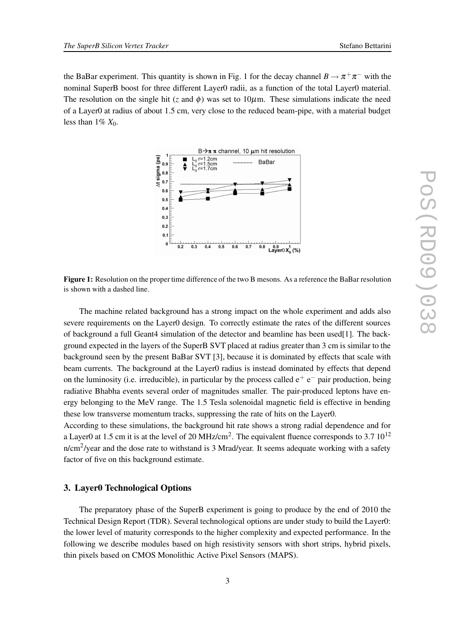the BaBar experiment. This quantity is shown in Fig. 1 for the decay channel  $B \to \pi^+ \pi^-$  with the nominal SuperB boost for three different Layer0 radii, as a function of the total Layer0 material. The resolution on the single hit (*z* and  $\phi$ ) was set to 10 $\mu$ m. These simulations indicate the need of a Layer0 at radius of about 1.5 cm, very close to the reduced beam-pipe, with a material budget less than  $1\% X_0$ .



**Figure 1:** Resolution on the proper time difference of the two B mesons. As a reference the BaBar resolution is shown with a dashed line.

The machine related background has a strong impact on the whole experiment and adds also severe requirements on the Layer0 design. To correctly estimate the rates of the different sources of background a full Geant4 simulation of the detector and beamline has been used[1]. The background expected in the layers of the SuperB SVT placed at radius greater than 3 cm is similar to the background seen by the present BaBar SVT [3], because it is dominated by effects that scale with beam currents. The background at the Layer0 radius is instead dominated by effects that depend on the luminosity (i.e. irreducible), in particular by the process called  $e^+e^-$  pair production, being radiative Bhabha events several order of magnitudes smaller. The pair-produced leptons have energy belonging to the MeV range. The 1.5 Tesla solenoidal magnetic field is effective in bending these low transverse momentum tracks, suppressing the rate of hits on the Layer0.

According to these simulations, the background hit rate shows a strong radial dependence and for a Layer0 at 1.5 cm it is at the level of 20 MHz/cm<sup>2</sup>. The equivalent fluence corresponds to 3.7  $10^{12}$ n/cm<sup>2</sup>/year and the dose rate to withstand is 3 Mrad/year. It seems adequate working with a safety factor of five on this background estimate.

#### **3. Layer0 Technological Options**

The preparatory phase of the SuperB experiment is going to produce by the end of 2010 the Technical Design Report (TDR). Several technological options are under study to build the Layer0: the lower level of maturity corresponds to the higher complexity and expected performance. In the following we describe modules based on high resistivity sensors with short strips, hybrid pixels, thin pixels based on CMOS Monolithic Active Pixel Sensors (MAPS).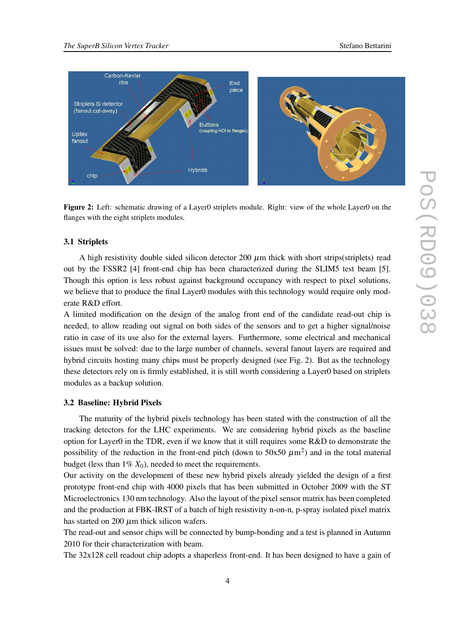

**Figure 2:** Left: schematic drawing of a Layer0 striplets module. Right: view of the whole Layer0 on the flanges with the eight striplets modules.

#### **3.1 Striplets**

A high resistivity double sided silicon detector 200  $\mu$ m thick with short strips(striplets) read out by the FSSR2 [4] front-end chip has been characterized during the SLIM5 test beam [5]. Though this option is less robust against background occupancy with respect to pixel solutions, we believe that to produce the final Layer0 modules with this technology would require only moderate R&D effort.

A limited modification on the design of the analog front end of the candidate read-out chip is needed, to allow reading out signal on both sides of the sensors and to get a higher signal/noise ratio in case of its use also for the external layers. Furthermore, some electrical and mechanical issues must be solved: due to the large number of channels, several fanout layers are required and hybrid circuits hosting many chips must be properly designed (see Fig. 2). But as the technology these detectors rely on is firmly established, it is still worth considering a Layer0 based on striplets modules as a backup solution.

## **3.2 Baseline: Hybrid Pixels**

The maturity of the hybrid pixels technology has been stated with the construction of all the tracking detectors for the LHC experiments. We are considering hybrid pixels as the baseline option for Layer0 in the TDR, even if we know that it still requires some  $R&D$  to demonstrate the possibility of the reduction in the front-end pitch (down to  $50x50 \ \mu m^2$ ) and in the total material budget (less than  $1\% X_0$ ), needed to meet the requirements.

Our activity on the development of these new hybrid pixels already yielded the design of a first prototype front-end chip with 4000 pixels that has been submitted in October 2009 with the ST Microelectronics 130 nm technology. Also the layout of the pixel sensor matrix has been completed and the production at FBK-IRST of a batch of high resistivity n-on-n, p-spray isolated pixel matrix has started on 200  $\mu$ m thick silicon wafers.

The read-out and sensor chips will be connected by bump-bonding and a test is planned in Autumn 2010 for their characterization with beam.

The 32x128 cell readout chip adopts a shaperless front-end. It has been designed to have a gain of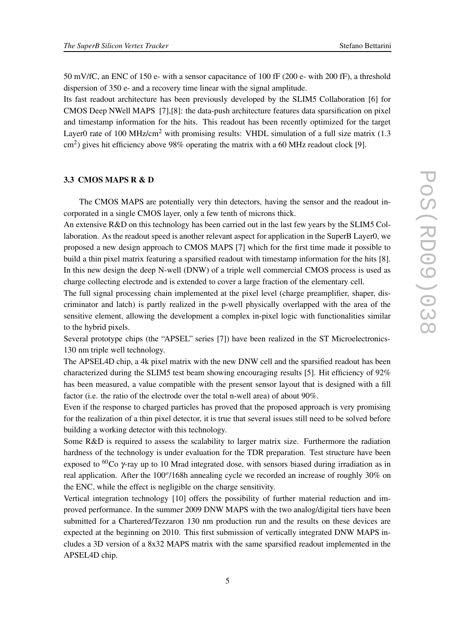50 mV/fC, an ENC of 150 e- with a sensor capacitance of 100 fF (200 e- with 200 fF), a threshold dispersion of 350 e- and a recovery time linear with the signal amplitude.

Its fast readout architecture has been previously developed by the SLIM5 Collaboration [6] for CMOS Deep NWell MAPS [7],[8]: the data-push architecture features data sparsification on pixel and timestamp information for the hits. This readout has been recently optimized for the target Layer0 rate of 100 MHz/cm<sup>2</sup> with promising results: VHDL simulation of a full size matrix  $(1.3)$  $\text{cm}^2$ ) gives hit efficiency above 98% operating the matrix with a 60 MHz readout clock [9].

### **3.3 CMOS MAPS R & D**

The CMOS MAPS are potentially very thin detectors, having the sensor and the readout incorporated in a single CMOS layer, only a few tenth of microns thick.

An extensive R&D on this technology has been carried out in the last few years by the SLIM5 Collaboration. As the readout speed is another relevant aspect for application in the SuperB Layer0, we proposed a new design approach to CMOS MAPS [7] which for the first time made it possible to build a thin pixel matrix featuring a sparsified readout with timestamp information for the hits [8]. In this new design the deep N-well (DNW) of a triple well commercial CMOS process is used as charge collecting electrode and is extended to cover a large fraction of the elementary cell.

The full signal processing chain implemented at the pixel level (charge preamplifier, shaper, discriminator and latch) is partly realized in the p-well physically overlapped with the area of the sensitive element, allowing the development a complex in-pixel logic with functionalities similar to the hybrid pixels.

Several prototype chips (the "APSEL" series [7]) have been realized in the ST Microelectronics-130 nm triple well technology.

The APSEL4D chip, a 4k pixel matrix with the new DNW cell and the sparsified readout has been characterized during the SLIM5 test beam showing encouraging results [5]. Hit efficiency of 92% has been measured, a value compatible with the present sensor layout that is designed with a fill factor (i.e. the ratio of the electrode over the total n-well area) of about 90%.

Even if the response to charged particles has proved that the proposed approach is very promising for the realization of a thin pixel detector, it is true that several issues still need to be solved before building a working detector with this technology.

Some  $R&D$  is required to assess the scalability to larger matrix size. Furthermore the radiation hardness of the technology is under evaluation for the TDR preparation. Test structure have been exposed to <sup>60</sup>Co  $\gamma$ -ray up to 10 Mrad integrated dose, with sensors biased during irradiation as in real application. After the 100<sup>o</sup>/168h annealing cycle we recorded an increase of roughly 30% on the ENC, while the effect is negligible on the charge sensitivity.

Vertical integration technology [10] offers the possibility of further material reduction and improved performance. In the summer 2009 DNW MAPS with the two analog/digital tiers have been submitted for a Chartered/Tezzaron 130 nm production run and the results on these devices are expected at the beginning on 2010. This first submission of vertically integrated DNW MAPS includes a 3D version of a 8x32 MAPS matrix with the same sparsified readout implemented in the APSEL4D chip.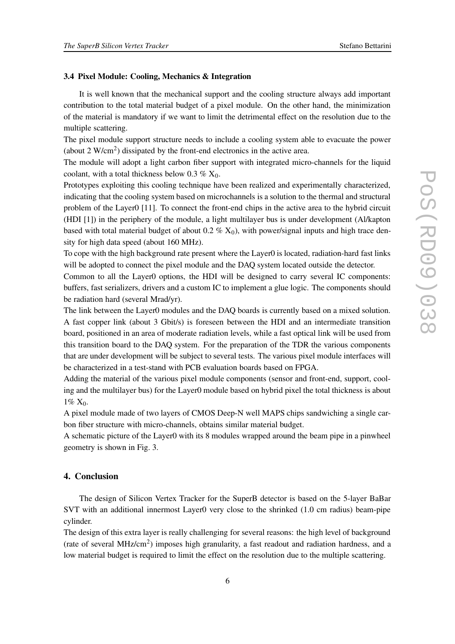#### **3.4 Pixel Module: Cooling, Mechanics & Integration**

It is well known that the mechanical support and the cooling structure always add important contribution to the total material budget of a pixel module. On the other hand, the minimization of the material is mandatory if we want to limit the detrimental effect on the resolution due to the multiple scattering.

The pixel module support structure needs to include a cooling system able to evacuate the power (about 2  $W/cm<sup>2</sup>$ ) dissipated by the front-end electronics in the active area.

The module will adopt a light carbon fiber support with integrated micro-channels for the liquid coolant, with a total thickness below 0.3 %  $X_0$ .

Prototypes exploiting this cooling technique have been realized and experimentally characterized, indicating that the cooling system based on microchannels is a solution to the thermal and structural problem of the Layer0 [11]. To connect the front-end chips in the active area to the hybrid circuit (HDI [1]) in the periphery of the module, a light multilayer bus is under development (Al/kapton based with total material budget of about  $0.2 \% X_0$ , with power/signal inputs and high trace density for high data speed (about 160 MHz).

To cope with the high background rate present where the Layer0 is located, radiation-hard fast links will be adopted to connect the pixel module and the DAQ system located outside the detector.

Common to all the Layer0 options, the HDI will be designed to carry several IC components: buffers, fast serializers, drivers and a custom IC to implement a glue logic. The components should be radiation hard (several Mrad/yr).

The link between the Layer0 modules and the DAQ boards is currently based on a mixed solution. A fast copper link (about 3 Gbit/s) is foreseen between the HDI and an intermediate transition board, positioned in an area of moderate radiation levels, while a fast optical link will be used from this transition board to the DAQ system. For the preparation of the TDR the various components that are under development will be subject to several tests. The various pixel module interfaces will be characterized in a test-stand with PCB evaluation boards based on FPGA.

Adding the material of the various pixel module components (sensor and front-end, support, cooling and the multilayer bus) for the Layer0 module based on hybrid pixel the total thickness is about  $1\% X_0$ .

A pixel module made of two layers of CMOS Deep-N well MAPS chips sandwiching a single carbon fiber structure with micro-channels, obtains similar material budget.

A schematic picture of the Layer0 with its 8 modules wrapped around the beam pipe in a pinwheel geometry is shown in Fig. 3.

## **4. Conclusion**

The design of Silicon Vertex Tracker for the SuperB detector is based on the 5-layer BaBar SVT with an additional innermost Layer0 very close to the shrinked (1.0 cm radius) beam-pipe cylinder.

The design of this extra layer is really challenging for several reasons: the high level of background (rate of several MHz/cm<sup>2</sup>) imposes high granularity, a fast readout and radiation hardness, and a low material budget is required to limit the effect on the resolution due to the multiple scattering.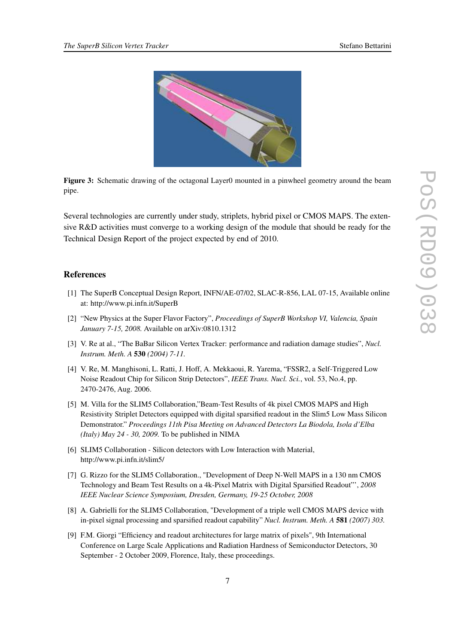

**Figure 3:** Schematic drawing of the octagonal Layer0 mounted in a pinwheel geometry around the beam pipe.

Several technologies are currently under study, striplets, hybrid pixel or CMOS MAPS. The extensive R&D activities must converge to a working design of the module that should be ready for the Technical Design Report of the project expected by end of 2010.

### **References**

- [1] The SuperB Conceptual Design Report, INFN/AE-07/02, SLAC-R-856, LAL 07-15, Available online at: http://www.pi.infn.it/SuperB
- [2] "New Physics at the Super Flavor Factory", *Proceedings of SuperB Workshop VI, Valencia, Spain January 7-15, 2008.* Available on arXiv:0810.1312
- [3] V. Re at al., "The BaBar Silicon Vertex Tracker: performance and radiation damage studies", *Nucl. Instrum. Meth. A* **530** *(2004) 7-11.*
- [4] V. Re, M. Manghisoni, L. Ratti, J. Hoff, A. Mekkaoui, R. Yarema, "FSSR2, a Self-Triggered Low Noise Readout Chip for Silicon Strip Detectors", *IEEE Trans. Nucl. Sci.*, vol. 53, No.4, pp. 2470-2476, Aug. 2006.
- [5] M. Villa for the SLIM5 Collaboration,"Beam-Test Results of 4k pixel CMOS MAPS and High Resistivity Striplet Detectors equipped with digital sparsified readout in the Slim5 Low Mass Silicon Demonstrator." *Proceedings 11th Pisa Meeting on Advanced Detectors La Biodola, Isola d'Elba (Italy) May 24 - 30, 2009.* To be published in NIMA
- [6] SLIM5 Collaboration Silicon detectors with Low Interaction with Material, http://www.pi.infn.it/slim5/
- [7] G. Rizzo for the SLIM5 Collaboration., "Development of Deep N-Well MAPS in a 130 nm CMOS Technology and Beam Test Results on a 4k-Pixel Matrix with Digital Sparsified Readout"', *2008 IEEE Nuclear Science Symposium, Dresden, Germany, 19-25 October, 2008*
- [8] A. Gabrielli for the SLIM5 Collaboration, "Development of a triple well CMOS MAPS device with in-pixel signal processing and sparsified readout capability" *Nucl. Instrum. Meth. A* **581** *(2007) 303.*
- [9] F.M. Giorgi "Efficiency and readout architectures for large matrix of pixels", 9th International Conference on Large Scale Applications and Radiation Hardness of Semiconductor Detectors, 30 September - 2 October 2009, Florence, Italy, these proceedings.